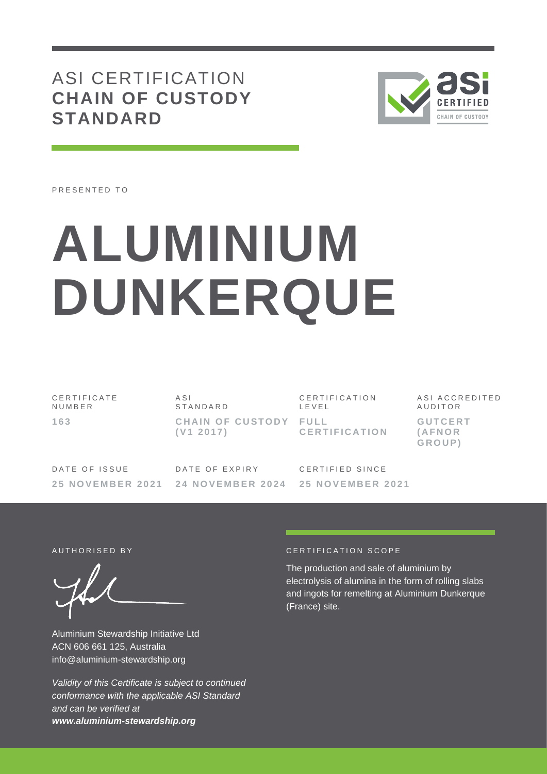ASI CERTIFICATION **CHAIN OF CUSTODY STANDARD**



PRESENTED TO

# **ALUMINIUM DUNKERQUE**

C E R T I F I C A T E **NUMBER 1 6 3** A S I **STANDARD CHAIN OF CUSTODY FULL ( V1 2 0 1 7 )** C E R T I F I C A T I O N L E V E L **C E R T I F I C A T I O N**

A S I A C C R E D I T E D **AUDITOR G U T C E R T ( A F N O R G R O U P )**

DATE OF ISSUE **2 5 N O V E M B E R 2 0 2 1** DATE OF EXPIRY **2 4 N O V E M B E R 202 4** CERTIFIED SINCE **2 5 N O V E M B E R 2021**

Aluminium Stewardship Initiative Ltd ACN 606 661 125, Australia info@aluminium-stewardship.org

*Validity of this Certificate is subject to continued conformance with the applicable ASI Standard and can be verified at www.aluminium-stewardship.org*

#### AUTHORISED BY **CERTIFICATION** SCOPE

The production and sale of aluminium by electrolysis of alumina in the form of rolling slabs and ingots for remelting at Aluminium Dunkerque (France) site.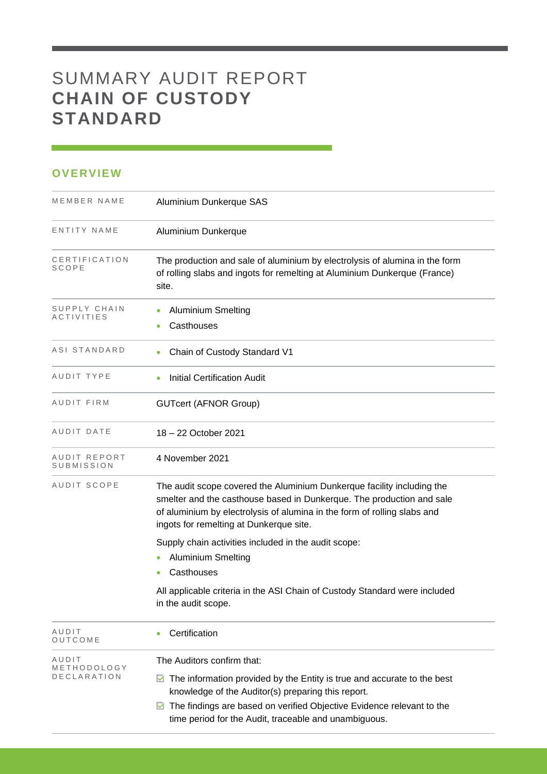## SUMMARY AUDIT REPORT **CHAIN OF CUSTODY STANDARD**

## **OVERVIEW**

| MEMBER NAME                | Aluminium Dunkerque SAS                                                                                                                                                                                                                                                |
|----------------------------|------------------------------------------------------------------------------------------------------------------------------------------------------------------------------------------------------------------------------------------------------------------------|
| ENTITY NAME                | Aluminium Dunkerque                                                                                                                                                                                                                                                    |
| CERTIFICATION<br>SCOPE     | The production and sale of aluminium by electrolysis of alumina in the form<br>of rolling slabs and ingots for remelting at Aluminium Dunkerque (France)<br>site.                                                                                                      |
| SUPPLY CHAIN<br>ACTIVITIES | <b>Aluminium Smelting</b><br>Casthouses<br>$\bullet$                                                                                                                                                                                                                   |
| ASI STANDARD               | Chain of Custody Standard V1                                                                                                                                                                                                                                           |
| AUDIT TYPE                 | <b>Initial Certification Audit</b>                                                                                                                                                                                                                                     |
| AUDIT FIRM                 | <b>GUTcert (AFNOR Group)</b>                                                                                                                                                                                                                                           |
| AUDIT DATE                 | 18 - 22 October 2021                                                                                                                                                                                                                                                   |
| AUDIT REPORT<br>SUBMISSION | 4 November 2021                                                                                                                                                                                                                                                        |
| AUDIT SCOPE                | The audit scope covered the Aluminium Dunkerque facility including the<br>smelter and the casthouse based in Dunkerque. The production and sale<br>of aluminium by electrolysis of alumina in the form of rolling slabs and<br>ingots for remelting at Dunkerque site. |
|                            | Supply chain activities included in the audit scope:                                                                                                                                                                                                                   |
|                            | <b>Aluminium Smelting</b><br>$\bullet$                                                                                                                                                                                                                                 |
|                            | Casthouses                                                                                                                                                                                                                                                             |
|                            | All applicable criteria in the ASI Chain of Custody Standard were included<br>in the audit scope.                                                                                                                                                                      |
| AUDIT<br>OUTCOME           | Certification                                                                                                                                                                                                                                                          |
| AUDIT<br>METHODOLOGY       | The Auditors confirm that:                                                                                                                                                                                                                                             |
| <b>DECLARATION</b>         | The information provided by the Entity is true and accurate to the best<br>M<br>knowledge of the Auditor(s) preparing this report.                                                                                                                                     |
|                            | The findings are based on verified Objective Evidence relevant to the<br>M<br>time period for the Audit, traceable and unambiguous.                                                                                                                                    |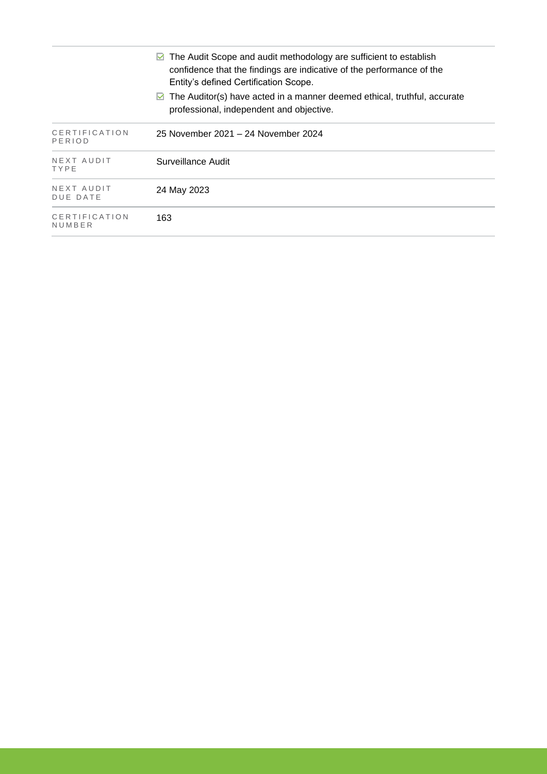|                         | The Audit Scope and audit methodology are sufficient to establish<br>M<br>confidence that the findings are indicative of the performance of the<br>Entity's defined Certification Scope. |
|-------------------------|------------------------------------------------------------------------------------------------------------------------------------------------------------------------------------------|
|                         | $\triangleright$ The Auditor(s) have acted in a manner deemed ethical, truthful, accurate<br>professional, independent and objective.                                                    |
| CERTIFICATION<br>PERIOD | 25 November 2021 – 24 November 2024                                                                                                                                                      |
| NEXT AUDIT<br>TYPE      | Surveillance Audit                                                                                                                                                                       |
| NEXT AUDIT<br>DUE DATE  | 24 May 2023                                                                                                                                                                              |
| CERTIFICATION<br>NUMBER | 163                                                                                                                                                                                      |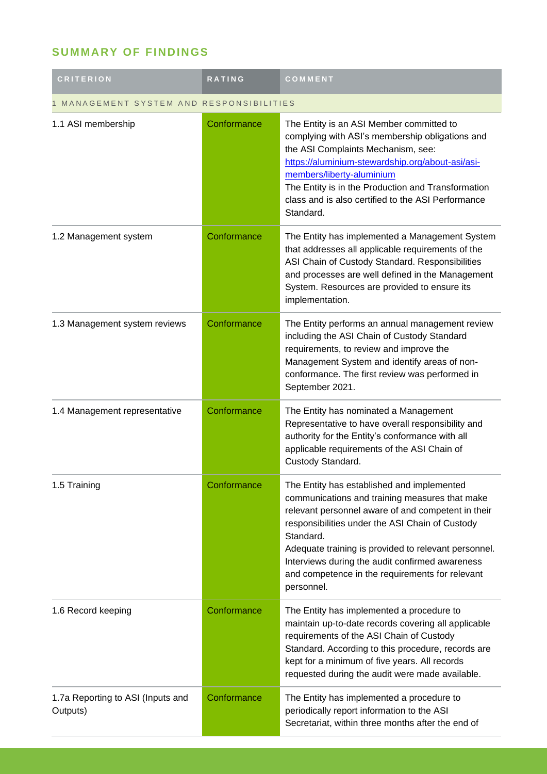## **SUMMARY OF FINDINGS**

| <b>CRITERION</b>                              | RATING      | COMMENT                                                                                                                                                                                                                                                                                                                                                                                        |  |
|-----------------------------------------------|-------------|------------------------------------------------------------------------------------------------------------------------------------------------------------------------------------------------------------------------------------------------------------------------------------------------------------------------------------------------------------------------------------------------|--|
| MANAGEMENT SYSTEM AND RESPONSIBILITIES        |             |                                                                                                                                                                                                                                                                                                                                                                                                |  |
| 1.1 ASI membership                            | Conformance | The Entity is an ASI Member committed to<br>complying with ASI's membership obligations and<br>the ASI Complaints Mechanism, see:<br>https://aluminium-stewardship.org/about-asi/asi-<br>members/liberty-aluminium<br>The Entity is in the Production and Transformation<br>class and is also certified to the ASI Performance<br>Standard.                                                    |  |
| 1.2 Management system                         | Conformance | The Entity has implemented a Management System<br>that addresses all applicable requirements of the<br>ASI Chain of Custody Standard. Responsibilities<br>and processes are well defined in the Management<br>System. Resources are provided to ensure its<br>implementation.                                                                                                                  |  |
| 1.3 Management system reviews                 | Conformance | The Entity performs an annual management review<br>including the ASI Chain of Custody Standard<br>requirements, to review and improve the<br>Management System and identify areas of non-<br>conformance. The first review was performed in<br>September 2021.                                                                                                                                 |  |
| 1.4 Management representative                 | Conformance | The Entity has nominated a Management<br>Representative to have overall responsibility and<br>authority for the Entity's conformance with all<br>applicable requirements of the ASI Chain of<br>Custody Standard.                                                                                                                                                                              |  |
| 1.5 Training                                  | Conformance | The Entity has established and implemented<br>communications and training measures that make<br>relevant personnel aware of and competent in their<br>responsibilities under the ASI Chain of Custody<br>Standard.<br>Adequate training is provided to relevant personnel.<br>Interviews during the audit confirmed awareness<br>and competence in the requirements for relevant<br>personnel. |  |
| 1.6 Record keeping                            | Conformance | The Entity has implemented a procedure to<br>maintain up-to-date records covering all applicable<br>requirements of the ASI Chain of Custody<br>Standard. According to this procedure, records are<br>kept for a minimum of five years. All records<br>requested during the audit were made available.                                                                                         |  |
| 1.7a Reporting to ASI (Inputs and<br>Outputs) | Conformance | The Entity has implemented a procedure to<br>periodically report information to the ASI<br>Secretariat, within three months after the end of                                                                                                                                                                                                                                                   |  |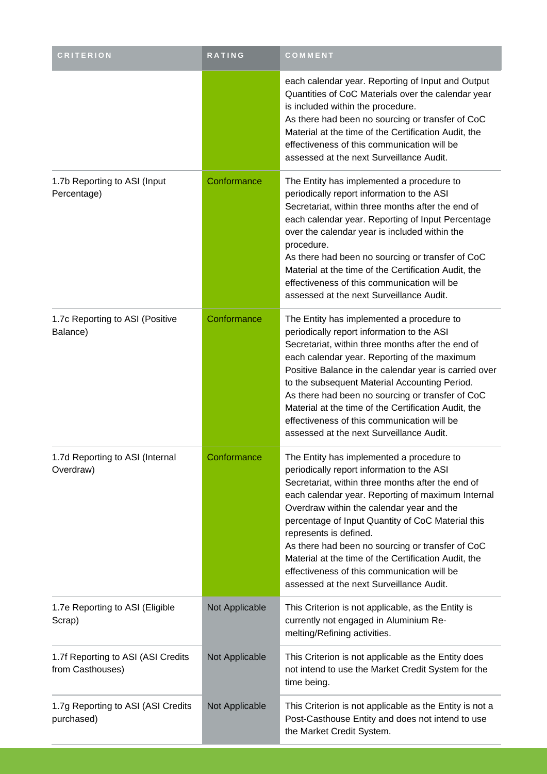| <b>CRITERION</b>                                       | <b>RATING</b>  | COMMENT                                                                                                                                                                                                                                                                                                                                                                                                                                                                                                                              |
|--------------------------------------------------------|----------------|--------------------------------------------------------------------------------------------------------------------------------------------------------------------------------------------------------------------------------------------------------------------------------------------------------------------------------------------------------------------------------------------------------------------------------------------------------------------------------------------------------------------------------------|
|                                                        |                | each calendar year. Reporting of Input and Output<br>Quantities of CoC Materials over the calendar year<br>is included within the procedure.<br>As there had been no sourcing or transfer of CoC<br>Material at the time of the Certification Audit, the<br>effectiveness of this communication will be<br>assessed at the next Surveillance Audit.                                                                                                                                                                                  |
| 1.7b Reporting to ASI (Input<br>Percentage)            | Conformance    | The Entity has implemented a procedure to<br>periodically report information to the ASI<br>Secretariat, within three months after the end of<br>each calendar year. Reporting of Input Percentage<br>over the calendar year is included within the<br>procedure.<br>As there had been no sourcing or transfer of CoC<br>Material at the time of the Certification Audit, the<br>effectiveness of this communication will be<br>assessed at the next Surveillance Audit.                                                              |
| 1.7c Reporting to ASI (Positive<br>Balance)            | Conformance    | The Entity has implemented a procedure to<br>periodically report information to the ASI<br>Secretariat, within three months after the end of<br>each calendar year. Reporting of the maximum<br>Positive Balance in the calendar year is carried over<br>to the subsequent Material Accounting Period.<br>As there had been no sourcing or transfer of CoC<br>Material at the time of the Certification Audit, the<br>effectiveness of this communication will be<br>assessed at the next Surveillance Audit.                        |
| 1.7d Reporting to ASI (Internal<br>Overdraw)           | Conformance    | The Entity has implemented a procedure to<br>periodically report information to the ASI<br>Secretariat, within three months after the end of<br>each calendar year. Reporting of maximum Internal<br>Overdraw within the calendar year and the<br>percentage of Input Quantity of CoC Material this<br>represents is defined.<br>As there had been no sourcing or transfer of CoC<br>Material at the time of the Certification Audit, the<br>effectiveness of this communication will be<br>assessed at the next Surveillance Audit. |
| 1.7e Reporting to ASI (Eligible<br>Scrap)              | Not Applicable | This Criterion is not applicable, as the Entity is<br>currently not engaged in Aluminium Re-<br>melting/Refining activities.                                                                                                                                                                                                                                                                                                                                                                                                         |
| 1.7f Reporting to ASI (ASI Credits<br>from Casthouses) | Not Applicable | This Criterion is not applicable as the Entity does<br>not intend to use the Market Credit System for the<br>time being.                                                                                                                                                                                                                                                                                                                                                                                                             |
| 1.7g Reporting to ASI (ASI Credits<br>purchased)       | Not Applicable | This Criterion is not applicable as the Entity is not a<br>Post-Casthouse Entity and does not intend to use<br>the Market Credit System.                                                                                                                                                                                                                                                                                                                                                                                             |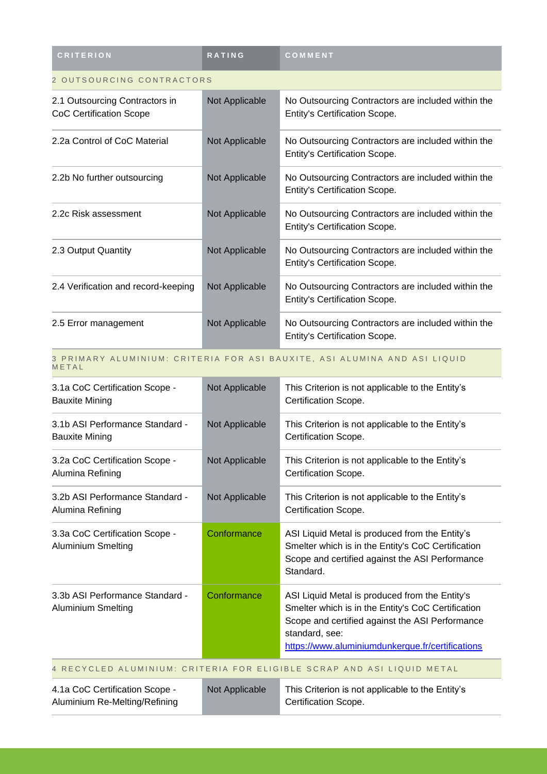| <b>CRITERION</b>                                                 | <b>RATING</b>  | COMMENT                                                                                    |  |
|------------------------------------------------------------------|----------------|--------------------------------------------------------------------------------------------|--|
| 2 OUTSOURCING CONTRACTORS                                        |                |                                                                                            |  |
| 2.1 Outsourcing Contractors in<br><b>CoC Certification Scope</b> | Not Applicable | No Outsourcing Contractors are included within the<br><b>Entity's Certification Scope.</b> |  |
| 2.2a Control of CoC Material                                     | Not Applicable | No Outsourcing Contractors are included within the<br><b>Entity's Certification Scope.</b> |  |
| 2.2b No further outsourcing                                      | Not Applicable | No Outsourcing Contractors are included within the<br><b>Entity's Certification Scope.</b> |  |
| 2.2c Risk assessment                                             | Not Applicable | No Outsourcing Contractors are included within the<br><b>Entity's Certification Scope.</b> |  |
| 2.3 Output Quantity                                              | Not Applicable | No Outsourcing Contractors are included within the<br><b>Entity's Certification Scope.</b> |  |
| 2.4 Verification and record-keeping                              | Not Applicable | No Outsourcing Contractors are included within the<br><b>Entity's Certification Scope.</b> |  |
| 2.5 Error management                                             | Not Applicable | No Outsourcing Contractors are included within the<br>Entity's Certification Scope.        |  |

#### 3 PRIMARY ALUMINIUM: CRITERIA FOR ASI BAUXITE, ASI ALUMINA AND ASI LIQUID **METAL**

| 3.1a CoC Certification Scope -<br><b>Bauxite Mining</b>                | Not Applicable | This Criterion is not applicable to the Entity's<br>Certification Scope.                                                                                                                                                      |
|------------------------------------------------------------------------|----------------|-------------------------------------------------------------------------------------------------------------------------------------------------------------------------------------------------------------------------------|
| 3.1b ASI Performance Standard -<br><b>Bauxite Mining</b>               | Not Applicable | This Criterion is not applicable to the Entity's<br>Certification Scope.                                                                                                                                                      |
| 3.2a CoC Certification Scope -<br>Alumina Refining                     | Not Applicable | This Criterion is not applicable to the Entity's<br>Certification Scope.                                                                                                                                                      |
| 3.2b ASI Performance Standard -<br>Alumina Refining                    | Not Applicable | This Criterion is not applicable to the Entity's<br>Certification Scope.                                                                                                                                                      |
| 3.3a CoC Certification Scope -<br><b>Aluminium Smelting</b>            | Conformance    | ASI Liquid Metal is produced from the Entity's<br>Smelter which is in the Entity's CoC Certification<br>Scope and certified against the ASI Performance<br>Standard.                                                          |
| 3.3b ASI Performance Standard -<br><b>Aluminium Smelting</b>           | Conformance    | ASI Liquid Metal is produced from the Entity's<br>Smelter which is in the Entity's CoC Certification<br>Scope and certified against the ASI Performance<br>standard, see:<br>https://www.aluminiumdunkerque.fr/certifications |
| 4 RECYCLED ALUMINIUM: CRITERIA FOR ELIGIBLE SCRAP AND ASI LIQUID METAL |                |                                                                                                                                                                                                                               |
| 4.1a CoC Certification Scope -<br>Aluminium Re-Melting/Refining        | Not Applicable | This Criterion is not applicable to the Entity's<br>Certification Scope.                                                                                                                                                      |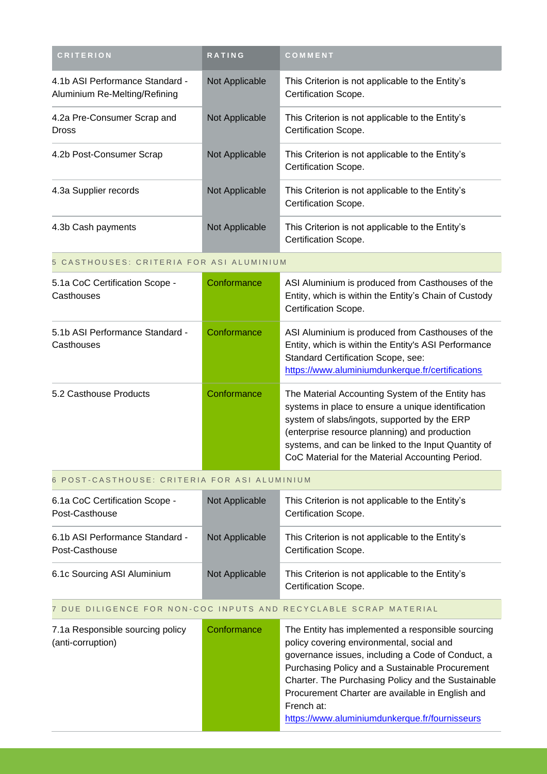| <b>CRITERION</b>                                                 | <b>RATING</b>  | COMMENT                                                                  |
|------------------------------------------------------------------|----------------|--------------------------------------------------------------------------|
| 4.1b ASI Performance Standard -<br>Aluminium Re-Melting/Refining | Not Applicable | This Criterion is not applicable to the Entity's<br>Certification Scope. |
| 4.2a Pre-Consumer Scrap and<br><b>Dross</b>                      | Not Applicable | This Criterion is not applicable to the Entity's<br>Certification Scope. |
| 4.2b Post-Consumer Scrap                                         | Not Applicable | This Criterion is not applicable to the Entity's<br>Certification Scope. |
| 4.3a Supplier records                                            | Not Applicable | This Criterion is not applicable to the Entity's<br>Certification Scope. |
| 4.3b Cash payments                                               | Not Applicable | This Criterion is not applicable to the Entity's<br>Certification Scope. |
| 5 CASTHOUSES: CRITERIA FOR ASI ALUMINIUM                         |                |                                                                          |
| 5.12 CoC Certification Scope -                                   | Conformance    | ASI Aluminium is produced from Casthouses of the                         |

| 5.1a CoC Certification Scope -<br>Casthouses  | Conformance | ASI Aluminium is produced from Casthouses of the<br>Entity, which is within the Entity's Chain of Custody<br>Certification Scope.                                                                                                                                                                                  |
|-----------------------------------------------|-------------|--------------------------------------------------------------------------------------------------------------------------------------------------------------------------------------------------------------------------------------------------------------------------------------------------------------------|
| 5.1b ASI Performance Standard -<br>Casthouses | Conformance | ASI Aluminium is produced from Casthouses of the<br>Entity, which is within the Entity's ASI Performance<br><b>Standard Certification Scope, see:</b><br>https://www.aluminiumdunkerque.fr/certifications                                                                                                          |
| 5.2 Casthouse Products                        | Conformance | The Material Accounting System of the Entity has<br>systems in place to ensure a unique identification<br>system of slabs/ingots, supported by the ERP<br>(enterprise resource planning) and production<br>systems, and can be linked to the Input Quantity of<br>CoC Material for the Material Accounting Period. |

### 6 POST-CASTHOUSE: CRITERIA FOR ASI ALUMINIUM

| 6.1a CoC Certification Scope -<br>Post-Casthouse  | Not Applicable | This Criterion is not applicable to the Entity's<br>Certification Scope. |
|---------------------------------------------------|----------------|--------------------------------------------------------------------------|
| 6.1b ASI Performance Standard -<br>Post-Casthouse | Not Applicable | This Criterion is not applicable to the Entity's<br>Certification Scope. |
| 6.1c Sourcing ASI Aluminium                       | Not Applicable | This Criterion is not applicable to the Entity's<br>Certification Scope. |

## 7 DUE DILIGENCE FOR NON-COC INPUTS AND RECYCLABLE SCRAP MATERIAL

| 7.1a Responsible sourcing policy<br>(anti-corruption) | Conformance | The Entity has implemented a responsible sourcing<br>policy covering environmental, social and<br>governance issues, including a Code of Conduct, a<br>Purchasing Policy and a Sustainable Procurement<br>Charter. The Purchasing Policy and the Sustainable<br>Procurement Charter are available in English and<br>French at:<br>https://www.aluminiumdunkerque.fr/fournisseurs |
|-------------------------------------------------------|-------------|----------------------------------------------------------------------------------------------------------------------------------------------------------------------------------------------------------------------------------------------------------------------------------------------------------------------------------------------------------------------------------|
|                                                       |             |                                                                                                                                                                                                                                                                                                                                                                                  |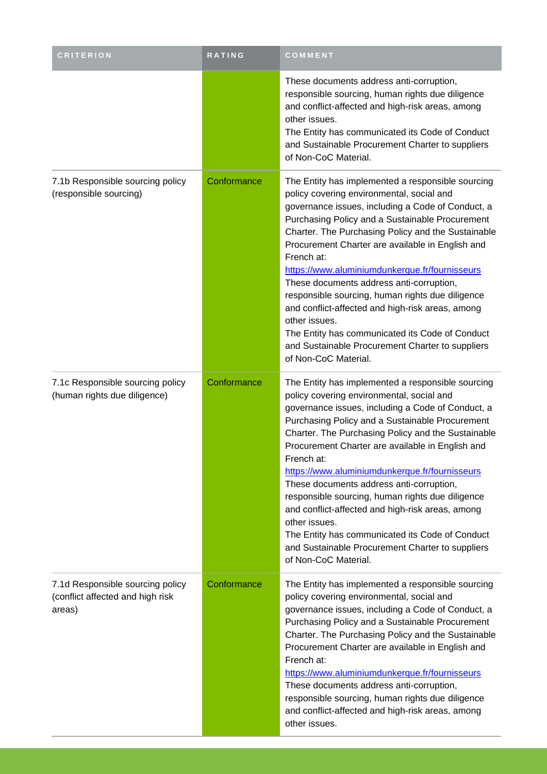| <b>CRITERION</b>                                                               | RATING      | COMMENT                                                                                                                                                                                                                                                                                                                                                                                                                                                                                                                                                                                                                                                                              |
|--------------------------------------------------------------------------------|-------------|--------------------------------------------------------------------------------------------------------------------------------------------------------------------------------------------------------------------------------------------------------------------------------------------------------------------------------------------------------------------------------------------------------------------------------------------------------------------------------------------------------------------------------------------------------------------------------------------------------------------------------------------------------------------------------------|
|                                                                                |             | These documents address anti-corruption,<br>responsible sourcing, human rights due diligence<br>and conflict-affected and high-risk areas, among<br>other issues.<br>The Entity has communicated its Code of Conduct<br>and Sustainable Procurement Charter to suppliers<br>of Non-CoC Material.                                                                                                                                                                                                                                                                                                                                                                                     |
| 7.1b Responsible sourcing policy<br>(responsible sourcing)                     | Conformance | The Entity has implemented a responsible sourcing<br>policy covering environmental, social and<br>governance issues, including a Code of Conduct, a<br>Purchasing Policy and a Sustainable Procurement<br>Charter. The Purchasing Policy and the Sustainable<br>Procurement Charter are available in English and<br>French at:<br>https://www.aluminiumdunkerque.fr/fournisseurs<br>These documents address anti-corruption,<br>responsible sourcing, human rights due diligence<br>and conflict-affected and high-risk areas, among<br>other issues.<br>The Entity has communicated its Code of Conduct<br>and Sustainable Procurement Charter to suppliers<br>of Non-CoC Material. |
| 7.1c Responsible sourcing policy<br>(human rights due diligence)               | Conformance | The Entity has implemented a responsible sourcing<br>policy covering environmental, social and<br>governance issues, including a Code of Conduct, a<br>Purchasing Policy and a Sustainable Procurement<br>Charter. The Purchasing Policy and the Sustainable<br>Procurement Charter are available in English and<br>French at:<br>https://www.aluminiumdunkerque.fr/fournisseurs<br>These documents address anti-corruption,<br>responsible sourcing, human rights due diligence<br>and conflict-affected and high-risk areas, among<br>other issues.<br>The Entity has communicated its Code of Conduct<br>and Sustainable Procurement Charter to suppliers<br>of Non-CoC Material. |
| 7.1d Responsible sourcing policy<br>(conflict affected and high risk<br>areas) | Conformance | The Entity has implemented a responsible sourcing<br>policy covering environmental, social and<br>governance issues, including a Code of Conduct, a<br>Purchasing Policy and a Sustainable Procurement<br>Charter. The Purchasing Policy and the Sustainable<br>Procurement Charter are available in English and<br>French at:<br>https://www.aluminiumdunkerque.fr/fournisseurs<br>These documents address anti-corruption,<br>responsible sourcing, human rights due diligence<br>and conflict-affected and high-risk areas, among<br>other issues.                                                                                                                                |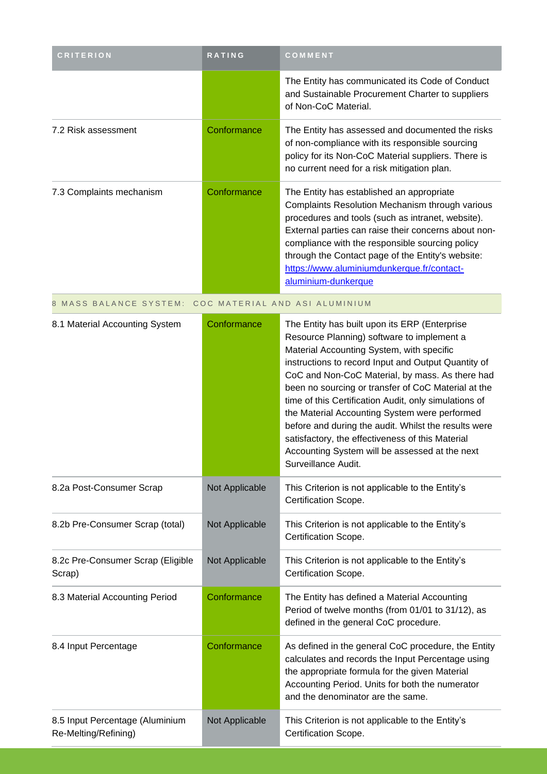| <b>CRITERION</b>                                        | RATING         | COMMENT                                                                                                                                                                                                                                                                                                                                                                                                                                                                                                                                                                                                  |
|---------------------------------------------------------|----------------|----------------------------------------------------------------------------------------------------------------------------------------------------------------------------------------------------------------------------------------------------------------------------------------------------------------------------------------------------------------------------------------------------------------------------------------------------------------------------------------------------------------------------------------------------------------------------------------------------------|
|                                                         |                | The Entity has communicated its Code of Conduct<br>and Sustainable Procurement Charter to suppliers<br>of Non-CoC Material.                                                                                                                                                                                                                                                                                                                                                                                                                                                                              |
| 7.2 Risk assessment                                     | Conformance    | The Entity has assessed and documented the risks<br>of non-compliance with its responsible sourcing<br>policy for its Non-CoC Material suppliers. There is<br>no current need for a risk mitigation plan.                                                                                                                                                                                                                                                                                                                                                                                                |
| 7.3 Complaints mechanism                                | Conformance    | The Entity has established an appropriate<br>Complaints Resolution Mechanism through various<br>procedures and tools (such as intranet, website).<br>External parties can raise their concerns about non-<br>compliance with the responsible sourcing policy<br>through the Contact page of the Entity's website:<br>https://www.aluminiumdunkerque.fr/contact-<br>aluminium-dunkerque                                                                                                                                                                                                                   |
| 8 MASS BALANCE SYSTEM:                                  |                | COC MATERIAL AND ASI ALUMINIUM                                                                                                                                                                                                                                                                                                                                                                                                                                                                                                                                                                           |
| 8.1 Material Accounting System                          | Conformance    | The Entity has built upon its ERP (Enterprise<br>Resource Planning) software to implement a<br>Material Accounting System, with specific<br>instructions to record Input and Output Quantity of<br>CoC and Non-CoC Material, by mass. As there had<br>been no sourcing or transfer of CoC Material at the<br>time of this Certification Audit, only simulations of<br>the Material Accounting System were performed<br>before and during the audit. Whilst the results were<br>satisfactory, the effectiveness of this Material<br>Accounting System will be assessed at the next<br>Surveillance Audit. |
| 8.2a Post-Consumer Scrap                                | Not Applicable | This Criterion is not applicable to the Entity's<br>Certification Scope.                                                                                                                                                                                                                                                                                                                                                                                                                                                                                                                                 |
| 8.2b Pre-Consumer Scrap (total)                         | Not Applicable | This Criterion is not applicable to the Entity's<br>Certification Scope.                                                                                                                                                                                                                                                                                                                                                                                                                                                                                                                                 |
| 8.2c Pre-Consumer Scrap (Eligible<br>Scrap)             | Not Applicable | This Criterion is not applicable to the Entity's<br>Certification Scope.                                                                                                                                                                                                                                                                                                                                                                                                                                                                                                                                 |
| 8.3 Material Accounting Period                          | Conformance    | The Entity has defined a Material Accounting<br>Period of twelve months (from 01/01 to 31/12), as<br>defined in the general CoC procedure.                                                                                                                                                                                                                                                                                                                                                                                                                                                               |
| 8.4 Input Percentage                                    | Conformance    | As defined in the general CoC procedure, the Entity<br>calculates and records the Input Percentage using<br>the appropriate formula for the given Material<br>Accounting Period. Units for both the numerator<br>and the denominator are the same.                                                                                                                                                                                                                                                                                                                                                       |
| 8.5 Input Percentage (Aluminium<br>Re-Melting/Refining) | Not Applicable | This Criterion is not applicable to the Entity's<br>Certification Scope.                                                                                                                                                                                                                                                                                                                                                                                                                                                                                                                                 |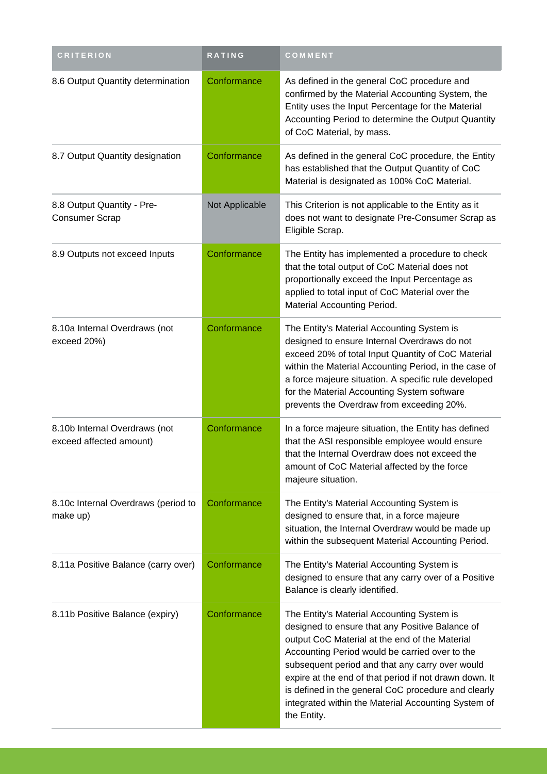| <b>CRITERION</b>                                         | RATING         | COMMENT                                                                                                                                                                                                                                                                                                                                                                                                                                     |
|----------------------------------------------------------|----------------|---------------------------------------------------------------------------------------------------------------------------------------------------------------------------------------------------------------------------------------------------------------------------------------------------------------------------------------------------------------------------------------------------------------------------------------------|
| 8.6 Output Quantity determination                        | Conformance    | As defined in the general CoC procedure and<br>confirmed by the Material Accounting System, the<br>Entity uses the Input Percentage for the Material<br>Accounting Period to determine the Output Quantity<br>of CoC Material, by mass.                                                                                                                                                                                                     |
| 8.7 Output Quantity designation                          | Conformance    | As defined in the general CoC procedure, the Entity<br>has established that the Output Quantity of CoC<br>Material is designated as 100% CoC Material.                                                                                                                                                                                                                                                                                      |
| 8.8 Output Quantity - Pre-<br><b>Consumer Scrap</b>      | Not Applicable | This Criterion is not applicable to the Entity as it<br>does not want to designate Pre-Consumer Scrap as<br>Eligible Scrap.                                                                                                                                                                                                                                                                                                                 |
| 8.9 Outputs not exceed Inputs                            | Conformance    | The Entity has implemented a procedure to check<br>that the total output of CoC Material does not<br>proportionally exceed the Input Percentage as<br>applied to total input of CoC Material over the<br>Material Accounting Period.                                                                                                                                                                                                        |
| 8.10a Internal Overdraws (not<br>exceed 20%)             | Conformance    | The Entity's Material Accounting System is<br>designed to ensure Internal Overdraws do not<br>exceed 20% of total Input Quantity of CoC Material<br>within the Material Accounting Period, in the case of<br>a force majeure situation. A specific rule developed<br>for the Material Accounting System software<br>prevents the Overdraw from exceeding 20%.                                                                               |
| 8.10b Internal Overdraws (not<br>exceed affected amount) | Conformance    | In a force majeure situation, the Entity has defined<br>that the ASI responsible employee would ensure<br>that the Internal Overdraw does not exceed the<br>amount of CoC Material affected by the force<br>majeure situation.                                                                                                                                                                                                              |
| 8.10c Internal Overdraws (period to<br>make up)          | Conformance    | The Entity's Material Accounting System is<br>designed to ensure that, in a force majeure<br>situation, the Internal Overdraw would be made up<br>within the subsequent Material Accounting Period.                                                                                                                                                                                                                                         |
| 8.11a Positive Balance (carry over)                      | Conformance    | The Entity's Material Accounting System is<br>designed to ensure that any carry over of a Positive<br>Balance is clearly identified.                                                                                                                                                                                                                                                                                                        |
| 8.11b Positive Balance (expiry)                          | Conformance    | The Entity's Material Accounting System is<br>designed to ensure that any Positive Balance of<br>output CoC Material at the end of the Material<br>Accounting Period would be carried over to the<br>subsequent period and that any carry over would<br>expire at the end of that period if not drawn down. It<br>is defined in the general CoC procedure and clearly<br>integrated within the Material Accounting System of<br>the Entity. |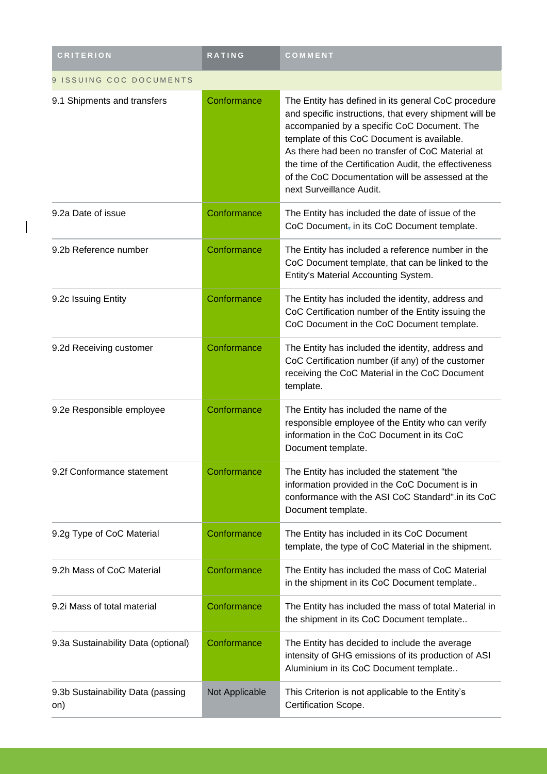| <b>CRITERION</b>                         | RATING         | COMMENT                                                                                                                                                                                                                                                                                                                                                                                                   |  |
|------------------------------------------|----------------|-----------------------------------------------------------------------------------------------------------------------------------------------------------------------------------------------------------------------------------------------------------------------------------------------------------------------------------------------------------------------------------------------------------|--|
| 9 ISSUING COC DOCUMENTS                  |                |                                                                                                                                                                                                                                                                                                                                                                                                           |  |
| 9.1 Shipments and transfers              | Conformance    | The Entity has defined in its general CoC procedure<br>and specific instructions, that every shipment will be<br>accompanied by a specific CoC Document. The<br>template of this CoC Document is available.<br>As there had been no transfer of CoC Material at<br>the time of the Certification Audit, the effectiveness<br>of the CoC Documentation will be assessed at the<br>next Surveillance Audit. |  |
| 9.2a Date of issue                       | Conformance    | The Entity has included the date of issue of the<br>CoC Document, in its CoC Document template.                                                                                                                                                                                                                                                                                                           |  |
| 9.2b Reference number                    | Conformance    | The Entity has included a reference number in the<br>CoC Document template, that can be linked to the<br>Entity's Material Accounting System.                                                                                                                                                                                                                                                             |  |
| 9.2c Issuing Entity                      | Conformance    | The Entity has included the identity, address and<br>CoC Certification number of the Entity issuing the<br>CoC Document in the CoC Document template.                                                                                                                                                                                                                                                     |  |
| 9.2d Receiving customer                  | Conformance    | The Entity has included the identity, address and<br>CoC Certification number (if any) of the customer<br>receiving the CoC Material in the CoC Document<br>template.                                                                                                                                                                                                                                     |  |
| 9.2e Responsible employee                | Conformance    | The Entity has included the name of the<br>responsible employee of the Entity who can verify<br>information in the CoC Document in its CoC<br>Document template.                                                                                                                                                                                                                                          |  |
| 9.2f Conformance statement               | Conformance    | The Entity has included the statement "the<br>information provided in the CoC Document is in<br>conformance with the ASI CoC Standard".in its CoC<br>Document template.                                                                                                                                                                                                                                   |  |
| 9.2g Type of CoC Material                | Conformance    | The Entity has included in its CoC Document<br>template, the type of CoC Material in the shipment.                                                                                                                                                                                                                                                                                                        |  |
| 9.2h Mass of CoC Material                | Conformance    | The Entity has included the mass of CoC Material<br>in the shipment in its CoC Document template                                                                                                                                                                                                                                                                                                          |  |
| 9.2i Mass of total material              | Conformance    | The Entity has included the mass of total Material in<br>the shipment in its CoC Document template                                                                                                                                                                                                                                                                                                        |  |
| 9.3a Sustainability Data (optional)      | Conformance    | The Entity has decided to include the average<br>intensity of GHG emissions of its production of ASI<br>Aluminium in its CoC Document template                                                                                                                                                                                                                                                            |  |
| 9.3b Sustainability Data (passing<br>on) | Not Applicable | This Criterion is not applicable to the Entity's<br>Certification Scope.                                                                                                                                                                                                                                                                                                                                  |  |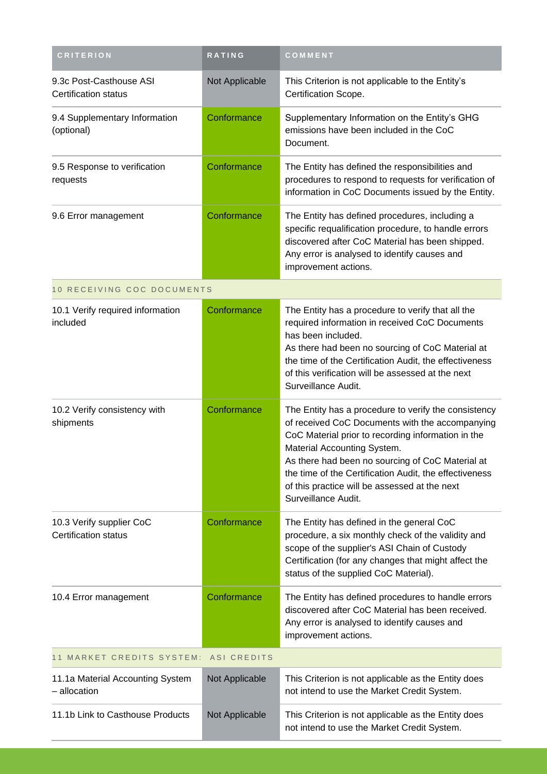| <b>CRITERION</b>                                        | <b>RATING</b>  | COMMENT                                                                                                                                                                                                                                                                                                                                                                            |
|---------------------------------------------------------|----------------|------------------------------------------------------------------------------------------------------------------------------------------------------------------------------------------------------------------------------------------------------------------------------------------------------------------------------------------------------------------------------------|
| 9.3c Post-Casthouse ASI<br><b>Certification status</b>  | Not Applicable | This Criterion is not applicable to the Entity's<br>Certification Scope.                                                                                                                                                                                                                                                                                                           |
| 9.4 Supplementary Information<br>(optional)             | Conformance    | Supplementary Information on the Entity's GHG<br>emissions have been included in the CoC<br>Document.                                                                                                                                                                                                                                                                              |
| 9.5 Response to verification<br>requests                | Conformance    | The Entity has defined the responsibilities and<br>procedures to respond to requests for verification of<br>information in CoC Documents issued by the Entity.                                                                                                                                                                                                                     |
| 9.6 Error management                                    | Conformance    | The Entity has defined procedures, including a<br>specific requalification procedure, to handle errors<br>discovered after CoC Material has been shipped.<br>Any error is analysed to identify causes and<br>improvement actions.                                                                                                                                                  |
| 10 RECEIVING COC DOCUMENTS                              |                |                                                                                                                                                                                                                                                                                                                                                                                    |
| 10.1 Verify required information<br>included            | Conformance    | The Entity has a procedure to verify that all the<br>required information in received CoC Documents<br>has been included.<br>As there had been no sourcing of CoC Material at<br>the time of the Certification Audit, the effectiveness<br>of this verification will be assessed at the next<br>Surveillance Audit.                                                                |
| 10.2 Verify consistency with<br>shipments               | Conformance    | The Entity has a procedure to verify the consistency<br>of received CoC Documents with the accompanying<br>CoC Material prior to recording information in the<br>Material Accounting System.<br>As there had been no sourcing of CoC Material at<br>the time of the Certification Audit, the effectiveness<br>of this practice will be assessed at the next<br>Surveillance Audit. |
| 10.3 Verify supplier CoC<br><b>Certification status</b> | Conformance    | The Entity has defined in the general CoC<br>procedure, a six monthly check of the validity and<br>scope of the supplier's ASI Chain of Custody<br>Certification (for any changes that might affect the<br>status of the supplied CoC Material).                                                                                                                                   |
| 10.4 Error management                                   | Conformance    | The Entity has defined procedures to handle errors<br>discovered after CoC Material has been received.<br>Any error is analysed to identify causes and<br>improvement actions.                                                                                                                                                                                                     |
| 11 MARKET CREDITS SYSTEM:                               | ASI CREDITS    |                                                                                                                                                                                                                                                                                                                                                                                    |
| 11.1a Material Accounting System<br>- allocation        | Not Applicable | This Criterion is not applicable as the Entity does<br>not intend to use the Market Credit System.                                                                                                                                                                                                                                                                                 |
| 11.1b Link to Casthouse Products                        | Not Applicable | This Criterion is not applicable as the Entity does<br>not intend to use the Market Credit System.                                                                                                                                                                                                                                                                                 |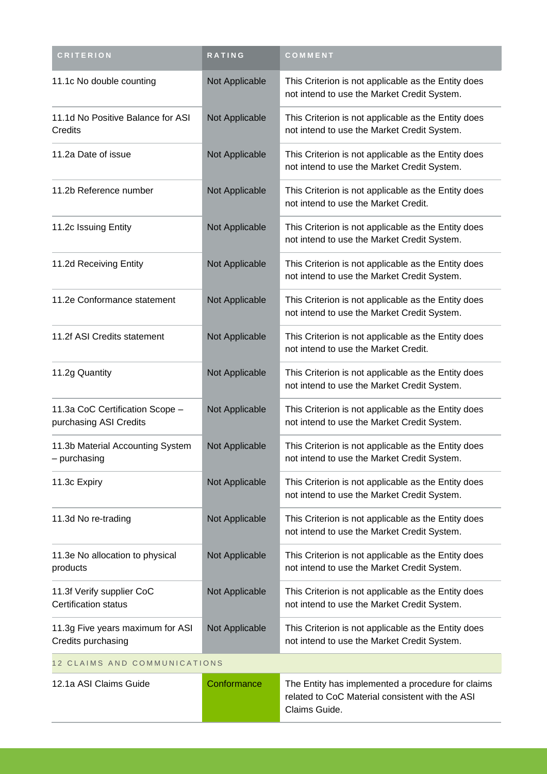| <b>CRITERION</b>                                          | RATING         | COMMENT                                                                                                               |
|-----------------------------------------------------------|----------------|-----------------------------------------------------------------------------------------------------------------------|
| 11.1c No double counting                                  | Not Applicable | This Criterion is not applicable as the Entity does<br>not intend to use the Market Credit System.                    |
| 11.1d No Positive Balance for ASI<br>Credits              | Not Applicable | This Criterion is not applicable as the Entity does<br>not intend to use the Market Credit System.                    |
| 11.2a Date of issue                                       | Not Applicable | This Criterion is not applicable as the Entity does<br>not intend to use the Market Credit System.                    |
| 11.2b Reference number                                    | Not Applicable | This Criterion is not applicable as the Entity does<br>not intend to use the Market Credit.                           |
| 11.2c Issuing Entity                                      | Not Applicable | This Criterion is not applicable as the Entity does<br>not intend to use the Market Credit System.                    |
| 11.2d Receiving Entity                                    | Not Applicable | This Criterion is not applicable as the Entity does<br>not intend to use the Market Credit System.                    |
| 11.2e Conformance statement                               | Not Applicable | This Criterion is not applicable as the Entity does<br>not intend to use the Market Credit System.                    |
| 11.2f ASI Credits statement                               | Not Applicable | This Criterion is not applicable as the Entity does<br>not intend to use the Market Credit.                           |
| 11.2g Quantity                                            | Not Applicable | This Criterion is not applicable as the Entity does<br>not intend to use the Market Credit System.                    |
| 11.3a CoC Certification Scope -<br>purchasing ASI Credits | Not Applicable | This Criterion is not applicable as the Entity does<br>not intend to use the Market Credit System.                    |
| 11.3b Material Accounting System<br>purchasing            | Not Applicable | This Criterion is not applicable as the Entity does<br>not intend to use the Market Credit System.                    |
| 11.3c Expiry                                              | Not Applicable | This Criterion is not applicable as the Entity does<br>not intend to use the Market Credit System.                    |
| 11.3d No re-trading                                       | Not Applicable | This Criterion is not applicable as the Entity does<br>not intend to use the Market Credit System.                    |
| 11.3e No allocation to physical<br>products               | Not Applicable | This Criterion is not applicable as the Entity does<br>not intend to use the Market Credit System.                    |
| 11.3f Verify supplier CoC<br>Certification status         | Not Applicable | This Criterion is not applicable as the Entity does<br>not intend to use the Market Credit System.                    |
| 11.3g Five years maximum for ASI<br>Credits purchasing    | Not Applicable | This Criterion is not applicable as the Entity does<br>not intend to use the Market Credit System.                    |
| 12 CLAIMS AND COMMUNICATIONS                              |                |                                                                                                                       |
| 12.1a ASI Claims Guide                                    | Conformance    | The Entity has implemented a procedure for claims<br>related to CoC Material consistent with the ASI<br>Claims Guide. |
|                                                           |                |                                                                                                                       |